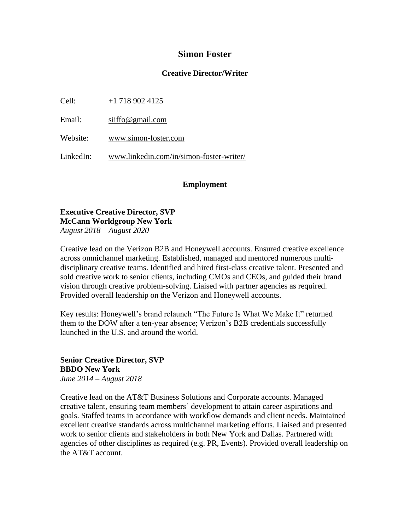## **Simon Foster**

### **Creative Director/Writer**

Cell: +1 718 902 4125

Email: [siiffo@gmail.com](mailto:siiffo@gmail.com)

Website: [www.simon-foster.com](http://www.simon-foster.com/)

LinkedIn: [www.linkedin.com/in/simon-foster-writer/](http://www.linkedin.com/in/simon-foster-writer/)

### **Employment**

### **Executive Creative Director, SVP McCann Worldgroup New York** *August 2018 – August 2020*

Creative lead on the Verizon B2B and Honeywell accounts. Ensured creative excellence across omnichannel marketing. Established, managed and mentored numerous multidisciplinary creative teams. Identified and hired first-class creative talent. Presented and sold creative work to senior clients, including CMOs and CEOs, and guided their brand vision through creative problem-solving. Liaised with partner agencies as required.

Provided overall leadership on the Verizon and Honeywell accounts.

Key results: Honeywell's brand relaunch "The Future Is What We Make It" returned them to the DOW after a ten-year absence; Verizon's B2B credentials successfully launched in the U.S. and around the world.

### **Senior Creative Director, SVP BBDO New York** *June 2014 – August 2018*

Creative lead on the AT&T Business Solutions and Corporate accounts. Managed creative talent, ensuring team members' development to attain career aspirations and goals. Staffed teams in accordance with workflow demands and client needs. Maintained excellent creative standards across multichannel marketing efforts. Liaised and presented work to senior clients and stakeholders in both New York and Dallas. Partnered with agencies of other disciplines as required (e.g. PR, Events). Provided overall leadership on the AT&T account.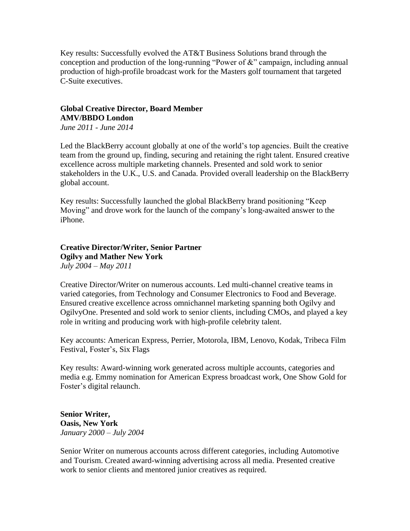Key results: Successfully evolved the AT&T Business Solutions brand through the conception and production of the long-running "Power of &" campaign, including annual production of high-profile broadcast work for the Masters golf tournament that targeted C-Suite executives.

# **Global Creative Director, Board Member AMV/BBDO London**

*June 2011 - June 2014*

Led the BlackBerry account globally at one of the world's top agencies. Built the creative team from the ground up, finding, securing and retaining the right talent. Ensured creative excellence across multiple marketing channels. Presented and sold work to senior stakeholders in the U.K., U.S. and Canada. Provided overall leadership on the BlackBerry global account.

Key results: Successfully launched the global BlackBerry brand positioning "Keep Moving" and drove work for the launch of the company's long-awaited answer to the iPhone.

**Creative Director/Writer, Senior Partner Ogilvy and Mather New York** *July 2004 – May 2011*

Creative Director/Writer on numerous accounts. Led multi-channel creative teams in varied categories, from Technology and Consumer Electronics to Food and Beverage. Ensured creative excellence across omnichannel marketing spanning both Ogilvy and OgilvyOne. Presented and sold work to senior clients, including CMOs, and played a key role in writing and producing work with high-profile celebrity talent.

Key accounts: American Express, Perrier, Motorola, IBM, Lenovo, Kodak, Tribeca Film Festival, Foster's, Six Flags

Key results: Award-winning work generated across multiple accounts, categories and media e.g. Emmy nomination for American Express broadcast work, One Show Gold for Foster's digital relaunch.

**Senior Writer, Oasis, New York** *January 2000 – July 2004*

Senior Writer on numerous accounts across different categories, including Automotive and Tourism. Created award-winning advertising across all media. Presented creative work to senior clients and mentored junior creatives as required.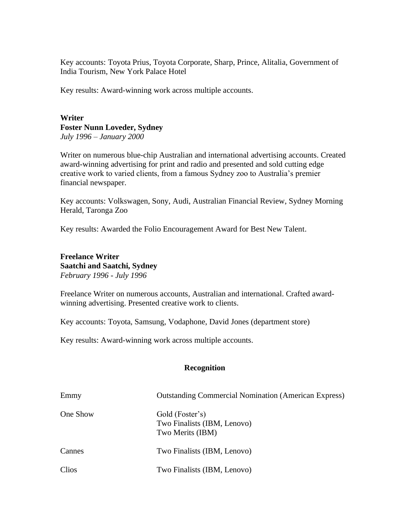Key accounts: Toyota Prius, Toyota Corporate, Sharp, Prince, Alitalia, Government of India Tourism, New York Palace Hotel

Key results: Award-winning work across multiple accounts.

### **Writer Foster Nunn Loveder, Sydney** *July 1996 – January 2000*

Writer on numerous blue-chip Australian and international advertising accounts. Created award-winning advertising for print and radio and presented and sold cutting edge creative work to varied clients, from a famous Sydney zoo to Australia's premier financial newspaper.

Key accounts: Volkswagen, Sony, Audi, Australian Financial Review, Sydney Morning Herald, Taronga Zoo

Key results: Awarded the Folio Encouragement Award for Best New Talent.

**Freelance Writer Saatchi and Saatchi, Sydney** *February 1996 - July 1996*

Freelance Writer on numerous accounts, Australian and international. Crafted awardwinning advertising. Presented creative work to clients.

Key accounts: Toyota, Samsung, Vodaphone, David Jones (department store)

Key results: Award-winning work across multiple accounts.

#### **Recognition**

| Emmy     | <b>Outstanding Commercial Nomination (American Express)</b>        |
|----------|--------------------------------------------------------------------|
| One Show | Gold (Foster's)<br>Two Finalists (IBM, Lenovo)<br>Two Merits (IBM) |
| Cannes   | Two Finalists (IBM, Lenovo)                                        |
| Clios    | Two Finalists (IBM, Lenovo)                                        |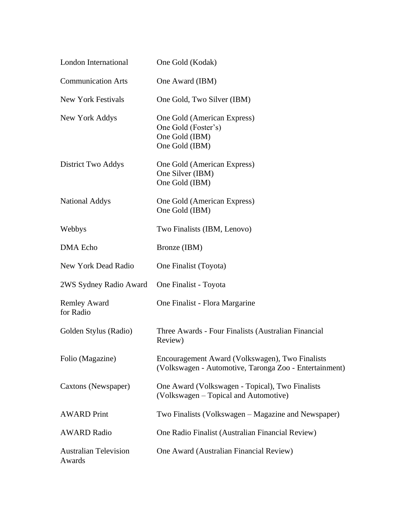| London International                   | One Gold (Kodak)                                                                                          |
|----------------------------------------|-----------------------------------------------------------------------------------------------------------|
| <b>Communication Arts</b>              | One Award (IBM)                                                                                           |
| <b>New York Festivals</b>              | One Gold, Two Silver (IBM)                                                                                |
| New York Addys                         | One Gold (American Express)<br>One Gold (Foster's)<br>One Gold (IBM)<br>One Gold (IBM)                    |
| District Two Addys                     | One Gold (American Express)<br>One Silver (IBM)<br>One Gold (IBM)                                         |
| <b>National Addys</b>                  | One Gold (American Express)<br>One Gold (IBM)                                                             |
| Webbys                                 | Two Finalists (IBM, Lenovo)                                                                               |
| <b>DMA</b> Echo                        | Bronze (IBM)                                                                                              |
| New York Dead Radio                    | One Finalist (Toyota)                                                                                     |
| 2WS Sydney Radio Award                 | One Finalist - Toyota                                                                                     |
| <b>Remley Award</b><br>for Radio       | One Finalist - Flora Margarine                                                                            |
| Golden Stylus (Radio)                  | Three Awards - Four Finalists (Australian Financial<br>Review)                                            |
| Folio (Magazine)                       | Encouragement Award (Volkswagen), Two Finalists<br>(Volkswagen - Automotive, Taronga Zoo - Entertainment) |
| Caxtons (Newspaper)                    | One Award (Volkswagen - Topical), Two Finalists<br>(Volkswagen – Topical and Automotive)                  |
| <b>AWARD Print</b>                     | Two Finalists (Volkswagen – Magazine and Newspaper)                                                       |
| <b>AWARD Radio</b>                     | One Radio Finalist (Australian Financial Review)                                                          |
| <b>Australian Television</b><br>Awards | One Award (Australian Financial Review)                                                                   |